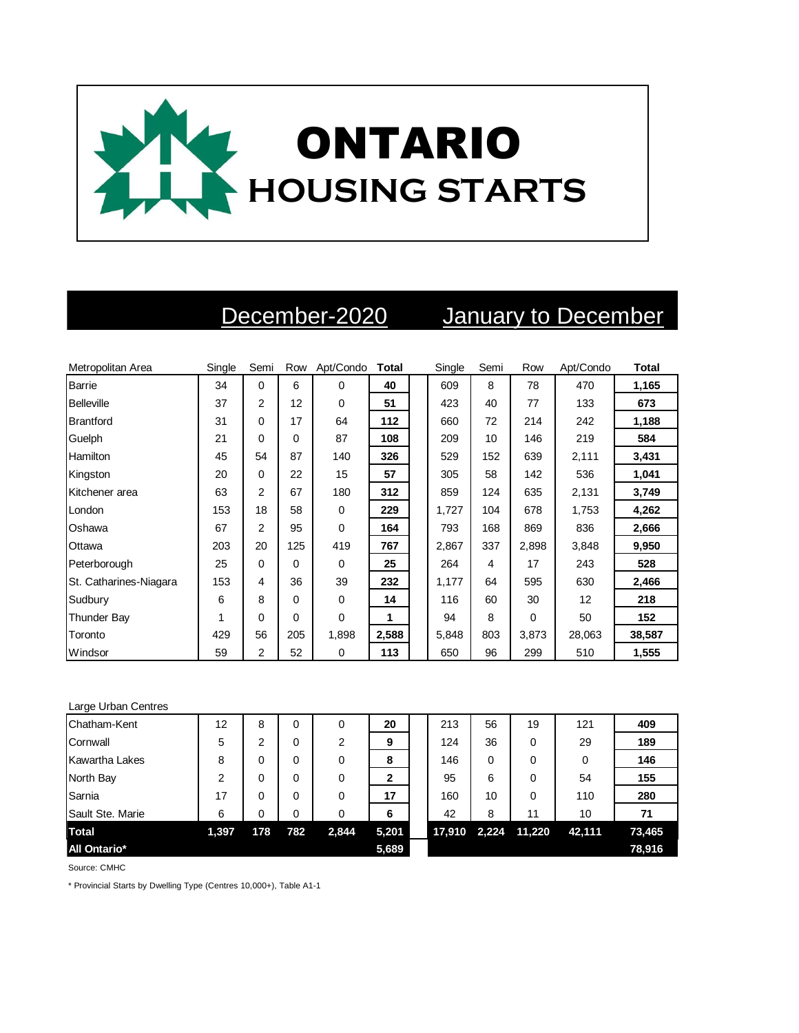

## December-2020 January to December

| Metropolitan Area      | Single | Semi           | Row | Apt/Condo   | <b>Total</b> | Single | Semi | Row      | Apt/Condo | <b>Total</b> |
|------------------------|--------|----------------|-----|-------------|--------------|--------|------|----------|-----------|--------------|
| Barrie                 | 34     | $\Omega$       | 6   | $\Omega$    | 40           | 609    | 8    | 78       | 470       | 1,165        |
| <b>Belleville</b>      | 37     | 2              | 12  | $\Omega$    | 51           | 423    | 40   | 77       | 133       | 673          |
| <b>Brantford</b>       | 31     | $\Omega$       | 17  | 64          | 112          | 660    | 72   | 214      | 242       | 1,188        |
| Guelph                 | 21     | 0              | 0   | 87          | 108          | 209    | 10   | 146      | 219       | 584          |
| Hamilton               | 45     | 54             | 87  | 140         | 326          | 529    | 152  | 639      | 2,111     | 3,431        |
| Kingston               | 20     | 0              | 22  | 15          | 57           | 305    | 58   | 142      | 536       | 1,041        |
| Kitchener area         | 63     | 2              | 67  | 180         | 312          | 859    | 124  | 635      | 2,131     | 3,749        |
| London                 | 153    | 18             | 58  | $\Omega$    | 229          | 1,727  | 104  | 678      | 1,753     | 4,262        |
| Oshawa                 | 67     | $\overline{2}$ | 95  | $\mathbf 0$ | 164          | 793    | 168  | 869      | 836       | 2,666        |
| Ottawa                 | 203    | 20             | 125 | 419         | 767          | 2,867  | 337  | 2,898    | 3,848     | 9,950        |
| Peterborough           | 25     | $\Omega$       | 0   | $\Omega$    | 25           | 264    | 4    | 17       | 243       | 528          |
| St. Catharines-Niagara | 153    | 4              | 36  | 39          | 232          | 1,177  | 64   | 595      | 630       | 2,466        |
| Sudbury                | 6      | 8              | 0   | 0           | 14           | 116    | 60   | 30       | 12        | 218          |
| <b>Thunder Bay</b>     | 1      | 0              | 0   | $\Omega$    | 1            | 94     | 8    | $\Omega$ | 50        | 152          |
| Toronto                | 429    | 56             | 205 | 1,898       | 2,588        | 5,848  | 803  | 3,873    | 28,063    | 38,587       |
| Windsor                | 59     | 2              | 52  | $\mathbf 0$ | 113          | 650    | 96   | 299      | 510       | 1,555        |

| Large Urban Centres |       |     |     |                |       |        |       |        |        |        |
|---------------------|-------|-----|-----|----------------|-------|--------|-------|--------|--------|--------|
| Chatham-Kent        | 12    | 8   | 0   | 0              | 20    | 213    | 56    | 19     | 121    | 409    |
| Cornwall            | 5     | 2   | 0   | $\overline{2}$ | 9     | 124    | 36    | 0      | 29     | 189    |
| Kawartha Lakes      | 8     |     | 0   | 0              | 8     | 146    | 0     | 0      | 0      | 146    |
| North Bay           | 2     | 0   | 0   | 0              | 2     | 95     | 6     | 0      | 54     | 155    |
| Sarnia              | 17    | 0   | 0   | 0              | 17    | 160    | 10    | 0      | 110    | 280    |
| Sault Ste. Marie    | 6     | 0   | 0   | 0              | 6     | 42     | 8     | 11     | 10     | 71     |
| Total               | 1,397 | 178 | 782 | 2,844          | 5,201 | 17,910 | 2,224 | 11,220 | 42,111 | 73,465 |
| <b>All Ontario*</b> |       |     |     |                | 5,689 |        |       |        |        | 78,916 |

Source: CMHC

\* Provincial Starts by Dwelling Type (Centres 10,000+), Table A1-1